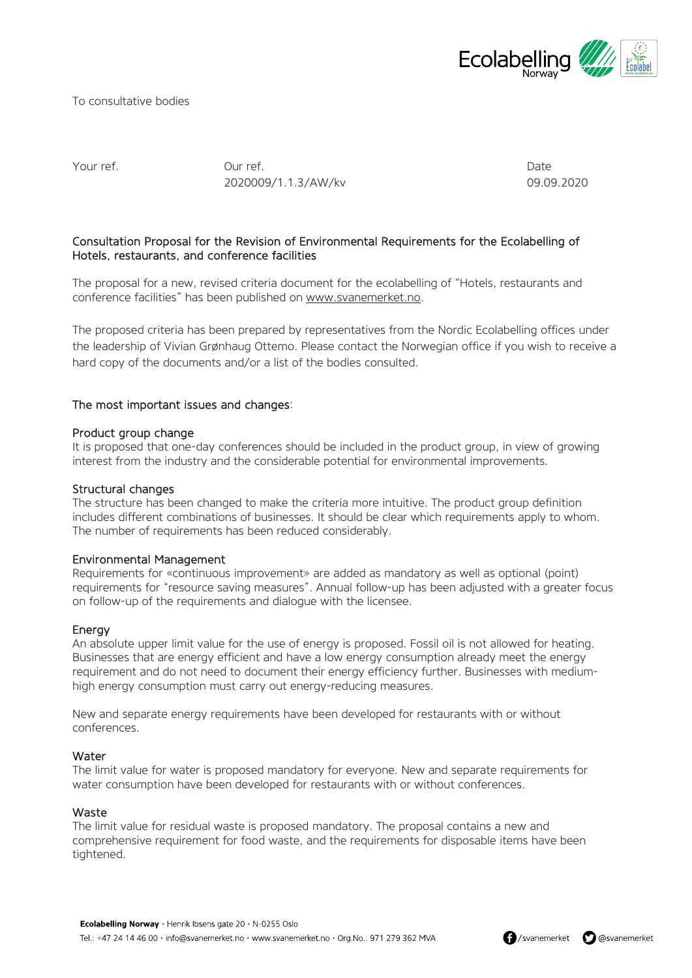

To consultative bodies

Your ref. Our ref. Date 2020009/1.1.3/AW/kv 09.09.2020

# Consultation Proposal for the Revision of Environmental Requirements for the Ecolabelling of Hotels, restaurants, and conference facilities

The proposal for a new, revised criteria document for the ecolabelling of "Hotels, restaurants and conference facilities" has been published on [www.svanemerket.no.](http://www.svanemerket.no/)

The proposed criteria has been prepared by representatives from the Nordic Ecolabelling offices under the leadership of Vivian Grønhaug Ottemo. Please contact the Norwegian office if you wish to receive a hard copy of the documents and/or a list of the bodies consulted.

## The most important issues and changes:

#### Product group change

It is proposed that one-day conferences should be included in the product group, in view of growing interest from the industry and the considerable potential for environmental improvements.

### Structural changes

The structure has been changed to make the criteria more intuitive. The product group definition includes different combinations of businesses. It should be clear which requirements apply to whom. The number of requirements has been reduced considerably.

## Environmental Management

Requirements for «continuous improvement» are added as mandatory as well as optional (point) requirements for "resource saving measures". Annual follow-up has been adjusted with a greater focus on follow-up of the requirements and dialogue with the licensee.

#### Energy

An absolute upper limit value for the use of energy is proposed. Fossil oil is not allowed for heating. Businesses that are energy efficient and have a low energy consumption already meet the energy requirement and do not need to document their energy efficiency further. Businesses with mediumhigh energy consumption must carry out energy-reducing measures.

New and separate energy requirements have been developed for restaurants with or without conferences.

#### Water

The limit value for water is proposed mandatory for everyone. New and separate requirements for water consumption have been developed for restaurants with or without conferences.

#### Waste

The limit value for residual waste is proposed mandatory. The proposal contains a new and comprehensive requirement for food waste, and the requirements for disposable items have been tightened.